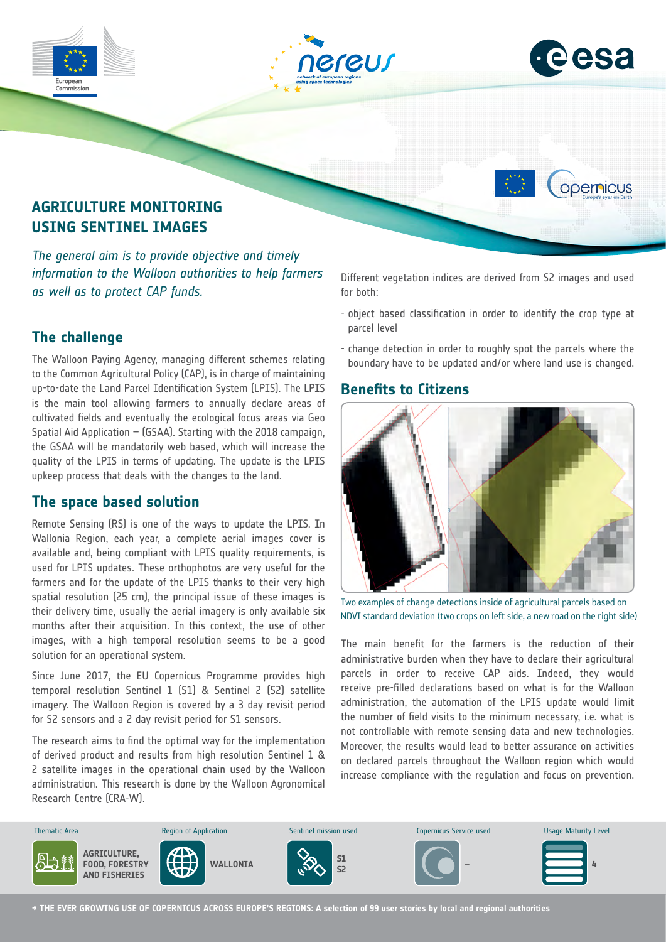

*The general aim is to provide objective and timely information to the Walloon authorities to help farmers as well as to protect CAP funds.*

# **The challenge**

The Walloon Paying Agency, managing different schemes relating to the Common Agricultural Policy (CAP), is in charge of maintaining up-to-date the Land Parcel Identification System (LPIS). The LPIS is the main tool allowing farmers to annually declare areas of cultivated fields and eventually the ecological focus areas via Geo Spatial Aid Application – (GSAA). Starting with the 2018 campaign, the GSAA will be mandatorily web based, which will increase the quality of the LPIS in terms of updating. The update is the LPIS upkeep process that deals with the changes to the land.

#### **The space based solution**

Remote Sensing (RS) is one of the ways to update the LPIS. In Wallonia Region, each year, a complete aerial images cover is available and, being compliant with LPIS quality requirements, is used for LPIS updates. These orthophotos are very useful for the farmers and for the update of the LPIS thanks to their very high spatial resolution (25 cm), the principal issue of these images is their delivery time, usually the aerial imagery is only available six months after their acquisition. In this context, the use of other images, with a high temporal resolution seems to be a good solution for an operational system.

Since June 2017, the EU Copernicus Programme provides high temporal resolution Sentinel 1 (S1) & Sentinel 2 (S2) satellite imagery. The Walloon Region is covered by a 3 day revisit period for S2 sensors and a 2 day revisit period for S1 sensors.

administration. This research is done by the Walloon Agronomical Research Centre (CRA-W). The research aims to find the optimal way for the implementation of derived product and results from high resolution Sentinel 1 & 2 satellite images in the operational chain used by the Walloon

Different vegetation indices are derived from S2 images and used for both:

- object based classification in order to identify the crop type at parcel level
- change detection in order to roughly spot the parcels where the boundary have to be updated and/or where land use is changed.

### **Benefits to Citizens**



Two examples of change detections inside of agricultural parcels based on NDVI standard deviation (two crops on left side, a new road on the right side)

The main benefit for the farmers is the reduction of their administrative burden when they have to declare their agricultural parcels in order to receive CAP aids. Indeed, they would receive pre-filled declarations based on what is for the Walloon administration, the automation of the LPIS update would limit the number of field visits to the minimum necessary, i.e. what is not controllable with remote sensing data and new technologies. Moreover, the results would lead to better assurance on activities on declared parcels throughout the Walloon region which would increase compliance with the regulation and focus on prevention.



**→ THE EVER GROWING USE OF COPERNICUS ACROSS EUROPE'S REGIONS: A selection of 99 user stories by local and regional authorities**